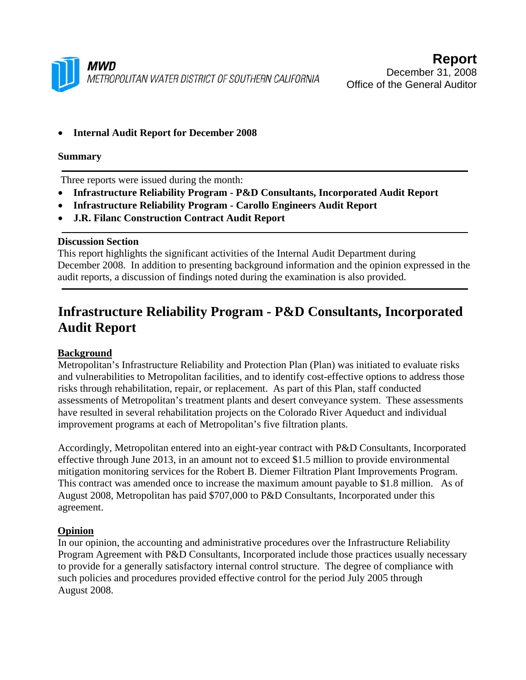

### • **Internal Audit Report for December 2008**

#### **Summary**

Three reports were issued during the month:

- **Infrastructure Reliability Program P&D Consultants, Incorporated Audit Report**
- **Infrastructure Reliability Program Carollo Engineers Audit Report**
- **J.R. Filanc Construction Contract Audit Report**

### **Discussion Section**

This report highlights the significant activities of the Internal Audit Department during December 2008. In addition to presenting background information and the opinion expressed in the audit reports, a discussion of findings noted during the examination is also provided.

# **Infrastructure Reliability Program - P&D Consultants, Incorporated Audit Report**

### **Background**

Metropolitan's Infrastructure Reliability and Protection Plan (Plan) was initiated to evaluate risks and vulnerabilities to Metropolitan facilities, and to identify cost-effective options to address those risks through rehabilitation, repair, or replacement. As part of this Plan, staff conducted assessments of Metropolitan's treatment plants and desert conveyance system. These assessments have resulted in several rehabilitation projects on the Colorado River Aqueduct and individual improvement programs at each of Metropolitan's five filtration plants.

Accordingly, Metropolitan entered into an eight-year contract with P&D Consultants, Incorporated effective through June 2013, in an amount not to exceed \$1.5 million to provide environmental mitigation monitoring services for the Robert B. Diemer Filtration Plant Improvements Program. This contract was amended once to increase the maximum amount payable to \$1.8 million. As of August 2008, Metropolitan has paid \$707,000 to P&D Consultants, Incorporated under this agreement.

### **Opinion**

In our opinion, the accounting and administrative procedures over the Infrastructure Reliability Program Agreement with P&D Consultants, Incorporated include those practices usually necessary to provide for a generally satisfactory internal control structure. The degree of compliance with such policies and procedures provided effective control for the period July 2005 through August 2008.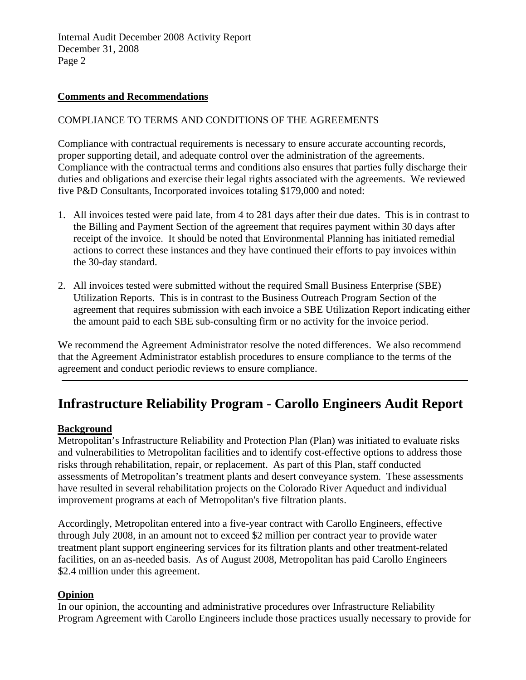Internal Audit December 2008 Activity Report December 31, 2008 Page 2

### **Comments and Recommendations**

### COMPLIANCE TO TERMS AND CONDITIONS OF THE AGREEMENTS

Compliance with contractual requirements is necessary to ensure accurate accounting records, proper supporting detail, and adequate control over the administration of the agreements. Compliance with the contractual terms and conditions also ensures that parties fully discharge their duties and obligations and exercise their legal rights associated with the agreements. We reviewed five P&D Consultants, Incorporated invoices totaling \$179,000 and noted:

- 1. All invoices tested were paid late, from 4 to 281 days after their due dates. This is in contrast to the Billing and Payment Section of the agreement that requires payment within 30 days after receipt of the invoice. It should be noted that Environmental Planning has initiated remedial actions to correct these instances and they have continued their efforts to pay invoices within the 30-day standard.
- 2. All invoices tested were submitted without the required Small Business Enterprise (SBE) Utilization Reports. This is in contrast to the Business Outreach Program Section of the agreement that requires submission with each invoice a SBE Utilization Report indicating either the amount paid to each SBE sub-consulting firm or no activity for the invoice period.

We recommend the Agreement Administrator resolve the noted differences. We also recommend that the Agreement Administrator establish procedures to ensure compliance to the terms of the agreement and conduct periodic reviews to ensure compliance.

## **Infrastructure Reliability Program - Carollo Engineers Audit Report**

### **Background**

Metropolitan's Infrastructure Reliability and Protection Plan (Plan) was initiated to evaluate risks and vulnerabilities to Metropolitan facilities and to identify cost-effective options to address those risks through rehabilitation, repair, or replacement. As part of this Plan, staff conducted assessments of Metropolitan's treatment plants and desert conveyance system. These assessments have resulted in several rehabilitation projects on the Colorado River Aqueduct and individual improvement programs at each of Metropolitan's five filtration plants.

Accordingly, Metropolitan entered into a five-year contract with Carollo Engineers, effective through July 2008, in an amount not to exceed \$2 million per contract year to provide water treatment plant support engineering services for its filtration plants and other treatment-related facilities, on an as-needed basis. As of August 2008, Metropolitan has paid Carollo Engineers \$2.4 million under this agreement.

### **Opinion**

In our opinion, the accounting and administrative procedures over Infrastructure Reliability Program Agreement with Carollo Engineers include those practices usually necessary to provide for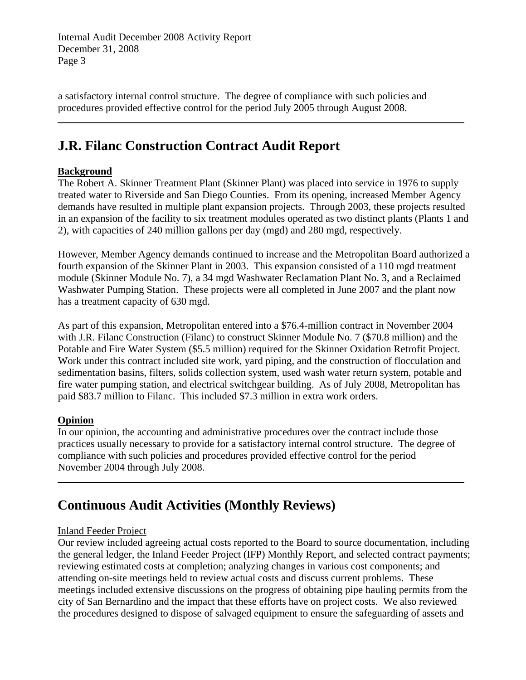Internal Audit December 2008 Activity Report December 31, 2008 Page 3

a satisfactory internal control structure. The degree of compliance with such policies and procedures provided effective control for the period July 2005 through August 2008.

# **J.R. Filanc Construction Contract Audit Report**

### **Background**

The Robert A. Skinner Treatment Plant (Skinner Plant) was placed into service in 1976 to supply treated water to Riverside and San Diego Counties. From its opening, increased Member Agency demands have resulted in multiple plant expansion projects. Through 2003, these projects resulted in an expansion of the facility to six treatment modules operated as two distinct plants (Plants 1 and 2), with capacities of 240 million gallons per day (mgd) and 280 mgd, respectively.

However, Member Agency demands continued to increase and the Metropolitan Board authorized a fourth expansion of the Skinner Plant in 2003. This expansion consisted of a 110 mgd treatment module (Skinner Module No. 7), a 34 mgd Washwater Reclamation Plant No. 3, and a Reclaimed Washwater Pumping Station. These projects were all completed in June 2007 and the plant now has a treatment capacity of 630 mgd.

As part of this expansion, Metropolitan entered into a \$76.4-million contract in November 2004 with J.R. Filanc Construction (Filanc) to construct Skinner Module No. 7 (\$70.8 million) and the Potable and Fire Water System (\$5.5 million) required for the Skinner Oxidation Retrofit Project. Work under this contract included site work, yard piping, and the construction of flocculation and sedimentation basins, filters, solids collection system, used wash water return system, potable and fire water pumping station, and electrical switchgear building. As of July 2008, Metropolitan has paid \$83.7 million to Filanc. This included \$7.3 million in extra work orders.

### **Opinion**

In our opinion, the accounting and administrative procedures over the contract include those practices usually necessary to provide for a satisfactory internal control structure. The degree of compliance with such policies and procedures provided effective control for the period November 2004 through July 2008.

# **Continuous Audit Activities (Monthly Reviews)**

### Inland Feeder Project

Our review included agreeing actual costs reported to the Board to source documentation, including the general ledger, the Inland Feeder Project (IFP) Monthly Report, and selected contract payments; reviewing estimated costs at completion; analyzing changes in various cost components; and attending on-site meetings held to review actual costs and discuss current problems. These meetings included extensive discussions on the progress of obtaining pipe hauling permits from the city of San Bernardino and the impact that these efforts have on project costs. We also reviewed the procedures designed to dispose of salvaged equipment to ensure the safeguarding of assets and